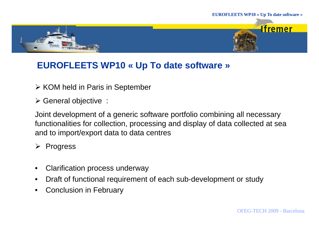

- $\triangleright$  KOM held in Paris in September
- **≻ General objective :**

Joint development of a generic software portfolio combining all necessary functionalities for collection, processing and display of data collected at sea and to import/export data to data centres

- ➤ Progress
- •Clarification process underway
- •Draft of functional requirement of each sub-development or study
- •**•** Conclusion in February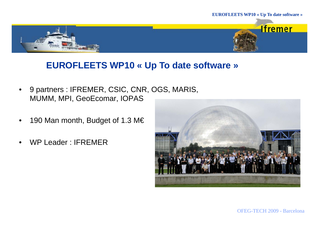

- 9 partners : IFREMER, CSIC, CNR, OGS, MARIS, •MUMM, MPI, GeoEcomar, IOPAS
- •190 Man month, Budget of 1.3 M€
- •WP Leader : IFREMER

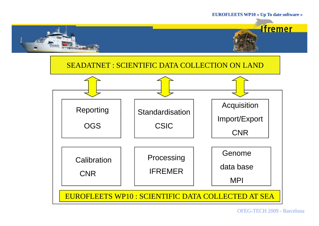**Ifremer** 



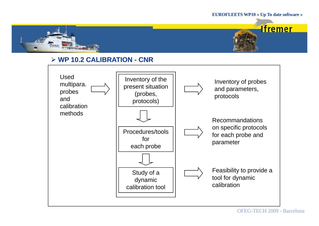



### **WP 10.2 CALIBRATION - CNR**



OFEG-TECH 2009 - Barcelona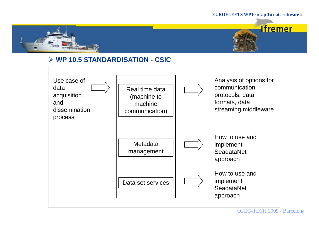



### **WP 10.5 STANDARDISATION - CSIC**

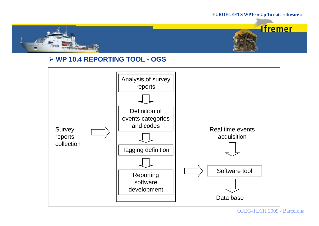



### **WP 10.4 REPORTING TOOL - OGS**



OFEG-TECH 2009 - Barcelona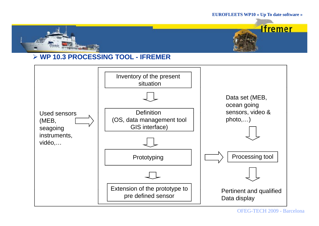**Ifremer** 





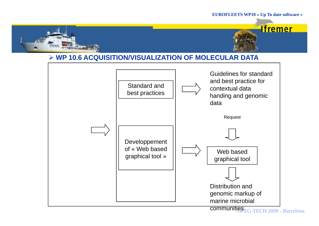



### **WP 10.6 ACQUISITION/VISUALIZATION OF MOLECULAR DATA**

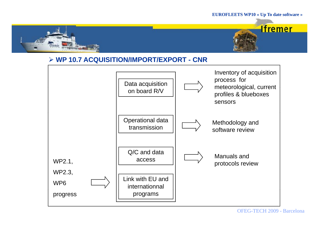



### **WP 10.7 ACQUISITION/IMPORT/EXPORT - CNR**